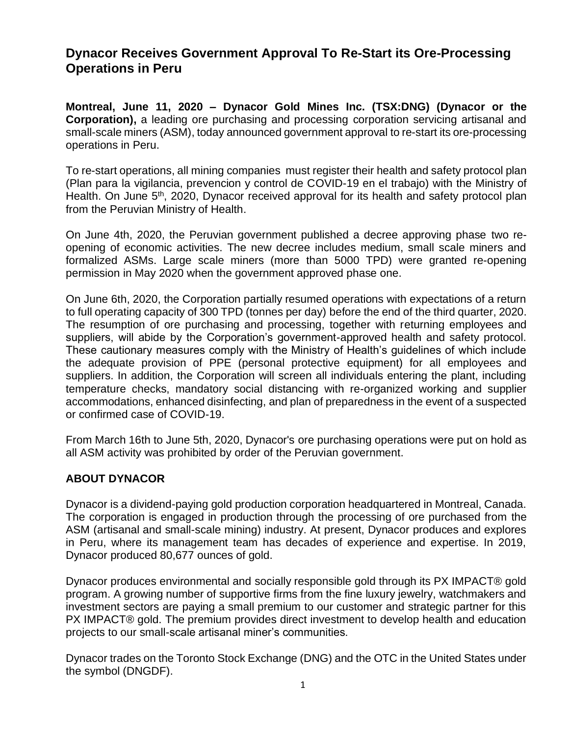## **Dynacor Receives Government Approval To Re-Start its Ore-Processing Operations in Peru**

**Montreal, June 11, 2020 – Dynacor Gold Mines Inc. (TSX:DNG) (Dynacor or the Corporation),** a leading ore purchasing and processing corporation servicing artisanal and small-scale miners (ASM), today announced government approval to re-start its ore-processing operations in Peru.

To re-start operations, all mining companies must register their health and safety protocol plan (Plan para la vigilancia, prevencion y control de COVID-19 en el trabajo) with the Ministry of Health. On June 5<sup>th</sup>, 2020, Dynacor received approval for its health and safety protocol plan from the Peruvian Ministry of Health.

On June 4th, 2020, the Peruvian government published a decree approving phase two reopening of economic activities. The new decree includes medium, small scale miners and formalized ASMs. Large scale miners (more than 5000 TPD) were granted re-opening permission in May 2020 when the government approved phase one.

On June 6th, 2020, the Corporation partially resumed operations with expectations of a return to full operating capacity of 300 TPD (tonnes per day) before the end of the third quarter, 2020. The resumption of ore purchasing and processing, together with returning employees and suppliers, will abide by the Corporation's government-approved health and safety protocol. These cautionary measures comply with the Ministry of Health's guidelines of which include the adequate provision of PPE (personal protective equipment) for all employees and suppliers. In addition, the Corporation will screen all individuals entering the plant, including temperature checks, mandatory social distancing with re-organized working and supplier accommodations, enhanced disinfecting, and plan of preparedness in the event of a suspected or confirmed case of COVID-19.

From March 16th to June 5th, 2020, Dynacor's ore purchasing operations were put on hold as all ASM activity was prohibited by order of the Peruvian government.

## **ABOUT DYNACOR**

Dynacor is a dividend-paying gold production corporation headquartered in Montreal, Canada. The corporation is engaged in production through the processing of ore purchased from the ASM (artisanal and small-scale mining) industry. At present, Dynacor produces and explores in Peru, where its management team has decades of experience and expertise. In 2019, Dynacor produced 80,677 ounces of gold.

Dynacor produces environmental and socially responsible gold through its PX IMPACT® gold program. A growing number of supportive firms from the fine luxury jewelry, watchmakers and investment sectors are paying a small premium to our customer and strategic partner for this PX IMPACT® gold. The premium provides direct investment to develop health and education projects to our small-scale artisanal miner's communities.

Dynacor trades on the Toronto Stock Exchange (DNG) and the OTC in the United States under the symbol (DNGDF).